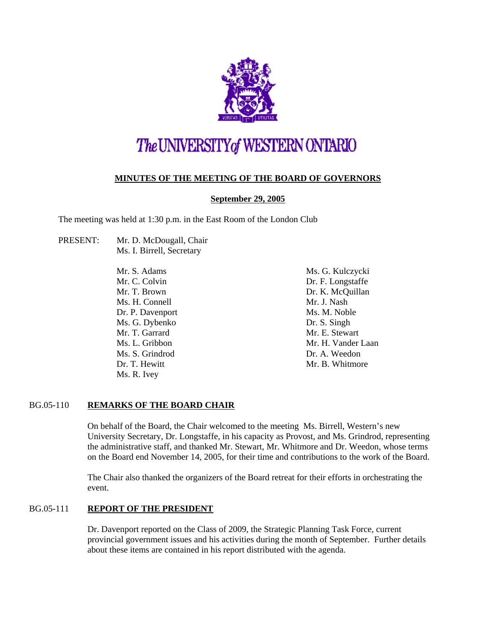

# The UNIVERSITY of WESTERN ONTARIO

# **MINUTES OF THE MEETING OF THE BOARD OF GOVERNORS**

# **September 29, 2005**

The meeting was held at 1:30 p.m. in the East Room of the London Club

PRESENT: Mr. D. McDougall, Chair Ms. I. Birrell, Secretary

> Mr. S. Adams Mr. C. Colvin Mr. T. Brown Ms. H. Connell Dr. P. Davenport Ms. G. Dybenko Mr. T. Garrard Ms. L. Gribbon Ms. S. Grindrod Dr. T. Hewitt Ms. R. Ivey

Ms. G. Kulczycki Dr. F. Longstaffe Dr. K. McQuillan Mr. J. Nash Ms. M. Noble Dr. S. Singh Mr. E. Stewart Mr. H. Vander Laan Dr. A. Weedon Mr. B. Whitmore

## BG.05-110 **REMARKS OF THE BOARD CHAIR**

On behalf of the Board, the Chair welcomed to the meeting Ms. Birrell, Western's new University Secretary, Dr. Longstaffe, in his capacity as Provost, and Ms. Grindrod, representing the administrative staff, and thanked Mr. Stewart, Mr. Whitmore and Dr. Weedon, whose terms on the Board end November 14, 2005, for their time and contributions to the work of the Board.

The Chair also thanked the organizers of the Board retreat for their efforts in orchestrating the event.

## BG.05-111 **REPORT OF THE PRESIDENT**

Dr. Davenport reported on the Class of 2009, the Strategic Planning Task Force, current provincial government issues and his activities during the month of September. Further details about these items are contained in his report distributed with the agenda.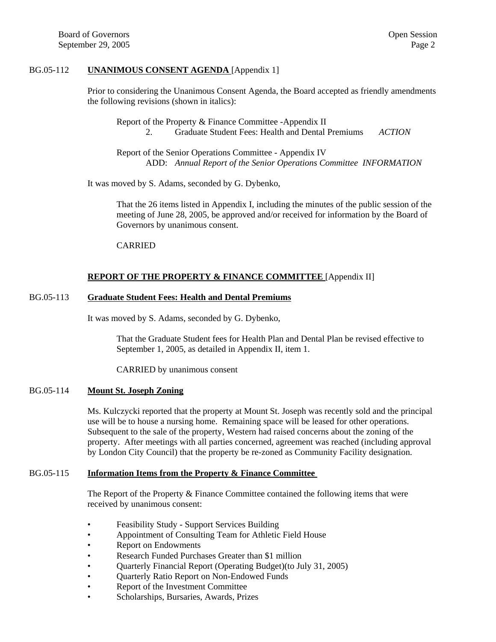#### BG.05-112 **UNANIMOUS CONSENT AGENDA** [Appendix 1]

Prior to considering the Unanimous Consent Agenda, the Board accepted as friendly amendments the following revisions (shown in italics):

Report of the Property & Finance Committee -Appendix II 2. Graduate Student Fees: Health and Dental Premiums *ACTION*

Report of the Senior Operations Committee - Appendix IV ADD: *Annual Report of the Senior Operations Committee INFORMATION*

It was moved by S. Adams, seconded by G. Dybenko,

That the 26 items listed in Appendix I, including the minutes of the public session of the meeting of June 28, 2005, be approved and/or received for information by the Board of Governors by unanimous consent.

#### CARRIED

## **REPORT OF THE PROPERTY & FINANCE COMMITTEE** [Appendix II]

#### BG.05-113 **Graduate Student Fees: Health and Dental Premiums**

It was moved by S. Adams, seconded by G. Dybenko,

That the Graduate Student fees for Health Plan and Dental Plan be revised effective to September 1, 2005, as detailed in Appendix II, item 1.

CARRIED by unanimous consent

## BG.05-114 **Mount St. Joseph Zoning**

Ms. Kulczycki reported that the property at Mount St. Joseph was recently sold and the principal use will be to house a nursing home. Remaining space will be leased for other operations. Subsequent to the sale of the property, Western had raised concerns about the zoning of the property. After meetings with all parties concerned, agreement was reached (including approval by London City Council) that the property be re-zoned as Community Facility designation.

#### BG.05-115 **Information Items from the Property & Finance Committee**

The Report of the Property & Finance Committee contained the following items that were received by unanimous consent:

- Feasibility Study Support Services Building
- Appointment of Consulting Team for Athletic Field House
- Report on Endowments
- Research Funded Purchases Greater than \$1 million
- Quarterly Financial Report (Operating Budget)(to July 31, 2005)
- Quarterly Ratio Report on Non-Endowed Funds
- Report of the Investment Committee
- Scholarships, Bursaries, Awards, Prizes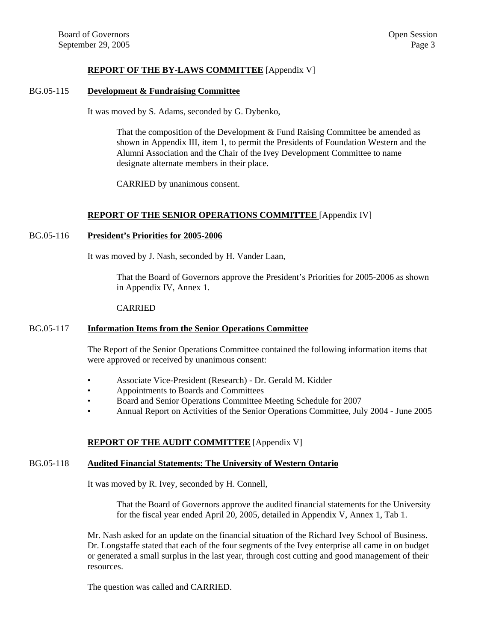## **REPORT OF THE BY-LAWS COMMITTEE** [Appendix V]

#### BG.05-115 **Development & Fundraising Committee**

It was moved by S. Adams, seconded by G. Dybenko,

That the composition of the Development & Fund Raising Committee be amended as shown in Appendix III, item 1, to permit the Presidents of Foundation Western and the Alumni Association and the Chair of the Ivey Development Committee to name designate alternate members in their place.

CARRIED by unanimous consent.

#### **REPORT OF THE SENIOR OPERATIONS COMMITTEE** [Appendix IV]

#### BG.05-116 **President's Priorities for 2005-2006**

It was moved by J. Nash, seconded by H. Vander Laan,

That the Board of Governors approve the President's Priorities for 2005-2006 as shown in Appendix IV, Annex 1.

#### CARRIED

#### BG.05-117 **Information Items from the Senior Operations Committee**

The Report of the Senior Operations Committee contained the following information items that were approved or received by unanimous consent:

- Associate Vice-President (Research) Dr. Gerald M. Kidder
- Appointments to Boards and Committees
- Board and Senior Operations Committee Meeting Schedule for 2007
- Annual Report on Activities of the Senior Operations Committee, July 2004 June 2005

#### **REPORT OF THE AUDIT COMMITTEE** [Appendix V]

#### BG.05-118 **Audited Financial Statements: The University of Western Ontario**

It was moved by R. Ivey, seconded by H. Connell,

That the Board of Governors approve the audited financial statements for the University for the fiscal year ended April 20, 2005, detailed in Appendix V, Annex 1, Tab 1.

Mr. Nash asked for an update on the financial situation of the Richard Ivey School of Business. Dr. Longstaffe stated that each of the four segments of the Ivey enterprise all came in on budget or generated a small surplus in the last year, through cost cutting and good management of their resources.

The question was called and CARRIED.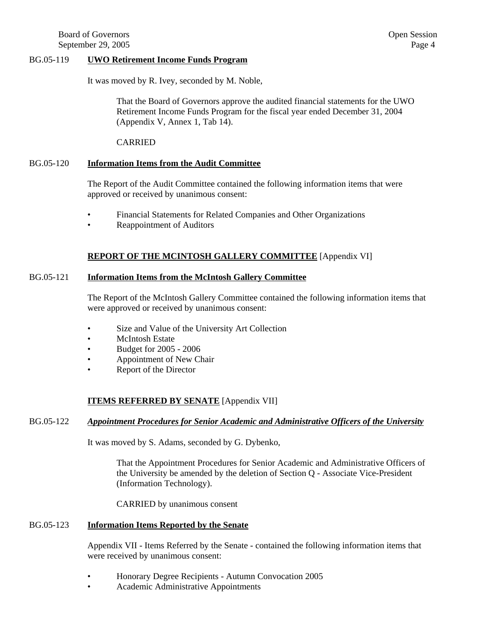#### BG.05-119 **UWO Retirement Income Funds Program**

It was moved by R. Ivey, seconded by M. Noble,

That the Board of Governors approve the audited financial statements for the UWO Retirement Income Funds Program for the fiscal year ended December 31, 2004 (Appendix V, Annex 1, Tab 14).

#### CARRIED

#### BG.05-120 **Information Items from the Audit Committee**

The Report of the Audit Committee contained the following information items that were approved or received by unanimous consent:

- Financial Statements for Related Companies and Other Organizations
- Reappointment of Auditors

## **REPORT OF THE MCINTOSH GALLERY COMMITTEE** [Appendix VI]

## BG.05-121 **Information Items from the McIntosh Gallery Committee**

The Report of the McIntosh Gallery Committee contained the following information items that were approved or received by unanimous consent:

- Size and Value of the University Art Collection
- McIntosh Estate
- Budget for 2005 2006
- Appointment of New Chair
- Report of the Director

## **ITEMS REFERRED BY SENATE** [Appendix VII]

#### BG.05-122 *Appointment Procedures for Senior Academic and Administrative Officers of the University*

It was moved by S. Adams, seconded by G. Dybenko,

That the Appointment Procedures for Senior Academic and Administrative Officers of the University be amended by the deletion of Section Q - Associate Vice-President (Information Technology).

CARRIED by unanimous consent

## BG.05-123 **Information Items Reported by the Senate**

Appendix VII - Items Referred by the Senate - contained the following information items that were received by unanimous consent:

- Honorary Degree Recipients Autumn Convocation 2005
- Academic Administrative Appointments